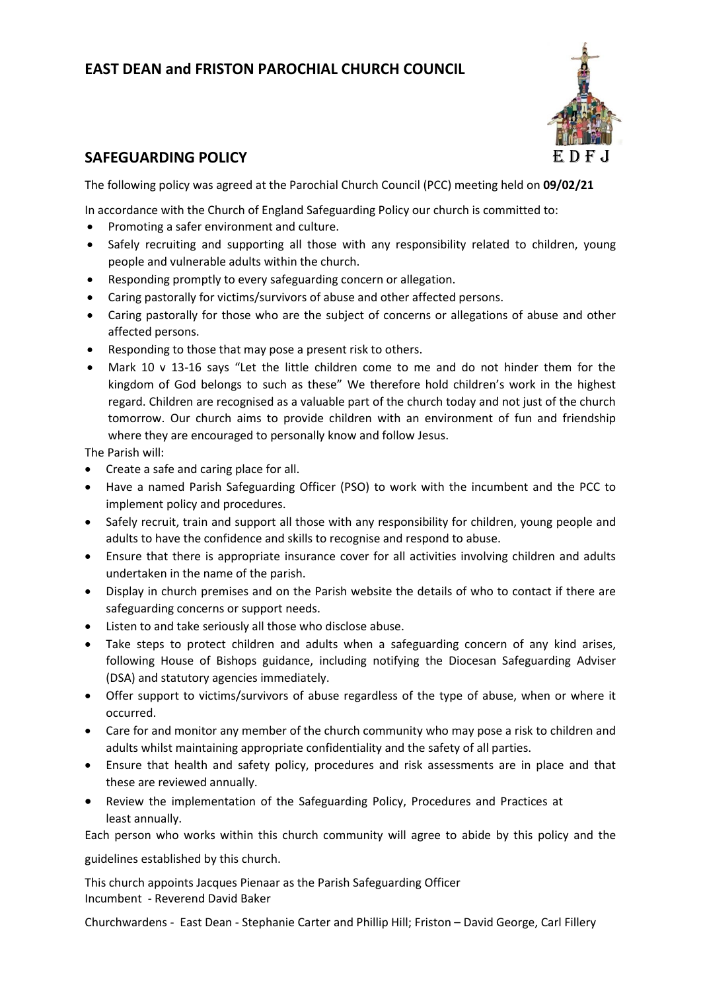# **EAST DEAN and FRISTON PAROCHIAL CHURCH COUNCIL**



## **SAFEGUARDING POLICY**

The following policy was agreed at the Parochial Church Council (PCC) meeting held on **09/02/21**

In accordance with the Church of England Safeguarding Policy our church is committed to:

- Promoting a safer environment and culture.
- Safely recruiting and supporting all those with any responsibility related to children, young people and vulnerable adults within the church.
- Responding promptly to every safeguarding concern or allegation.
- Caring pastorally for victims/survivors of abuse and other affected persons.
- Caring pastorally for those who are the subject of concerns or allegations of abuse and other affected persons.
- Responding to those that may pose a present risk to others.
- Mark 10 v 13-16 says "Let the little children come to me and do not hinder them for the kingdom of God belongs to such as these" We therefore hold children's work in the highest regard. Children are recognised as a valuable part of the church today and not just of the church tomorrow. Our church aims to provide children with an environment of fun and friendship where they are encouraged to personally know and follow Jesus.

The Parish will:

- Create a safe and caring place for all.
- Have a named Parish Safeguarding Officer (PSO) to work with the incumbent and the PCC to implement policy and procedures.
- Safely recruit, train and support all those with any responsibility for children, young people and adults to have the confidence and skills to recognise and respond to abuse.
- Ensure that there is appropriate insurance cover for all activities involving children and adults undertaken in the name of the parish.
- Display in church premises and on the Parish website the details of who to contact if there are safeguarding concerns or support needs.
- Listen to and take seriously all those who disclose abuse.
- Take steps to protect children and adults when a safeguarding concern of any kind arises, following House of Bishops guidance, including notifying the Diocesan Safeguarding Adviser (DSA) and statutory agencies immediately.
- Offer support to victims/survivors of abuse regardless of the type of abuse, when or where it occurred.
- Care for and monitor any member of the church community who may pose a risk to children and adults whilst maintaining appropriate confidentiality and the safety of all parties.
- Ensure that health and safety policy, procedures and risk assessments are in place and that these are reviewed annually.
- Review the implementation of the Safeguarding Policy, Procedures and Practices at least annually.

Each person who works within this church community will agree to abide by this policy and the

guidelines established by this church.

This church appoints Jacques Pienaar as the Parish Safeguarding Officer Incumbent - Reverend David Baker

Churchwardens - East Dean - Stephanie Carter and Phillip Hill; Friston – David George, Carl Fillery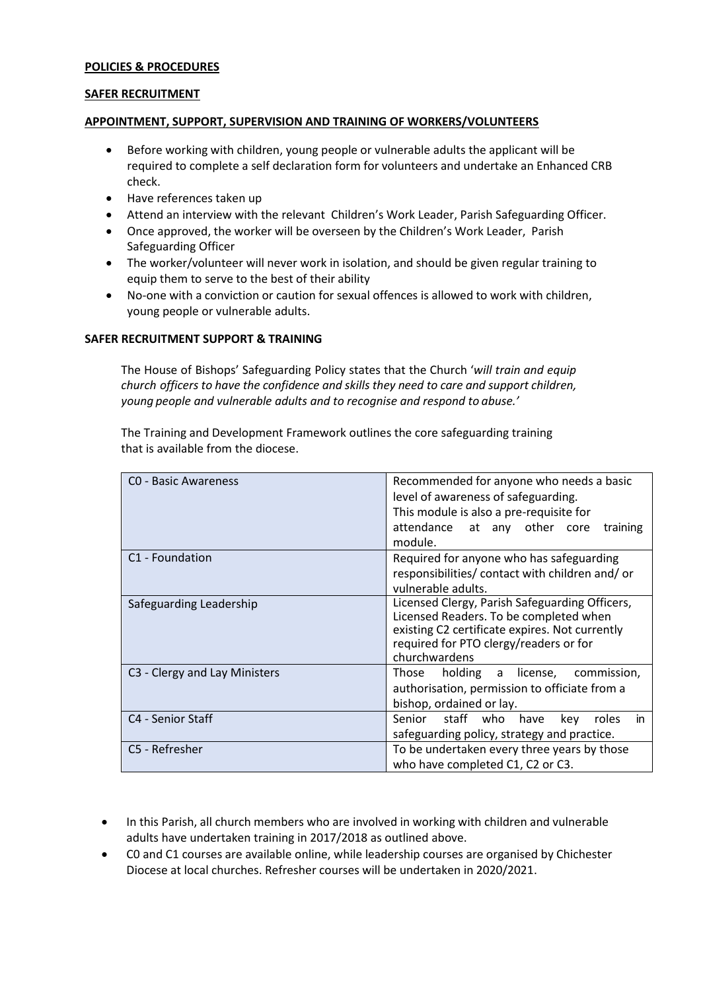#### **POLICIES & PROCEDURES**

#### **SAFER RECRUITMENT**

#### **APPOINTMENT, SUPPORT, SUPERVISION AND TRAINING OF WORKERS/VOLUNTEERS**

- Before working with children, young people or vulnerable adults the applicant will be required to complete a self declaration form for volunteers and undertake an Enhanced CRB check.
- Have references taken up
- Attend an interview with the relevant Children's Work Leader, Parish Safeguarding Officer.
- Once approved, the worker will be overseen by the Children's Work Leader, Parish Safeguarding Officer
- The worker/volunteer will never work in isolation, and should be given regular training to equip them to serve to the best of their ability
- No-one with a conviction or caution for sexual offences is allowed to work with children, young people or vulnerable adults.

#### **SAFER RECRUITMENT SUPPORT & TRAINING**

The House of Bishops' Safeguarding Policy states that the Church '*will train and equip church officers to have the confidence and skills they need to care and support children, young people and vulnerable adults and to recognise and respond to abuse.'*

The [Training and Development Framework](https://www.churchofengland.org/sites/default/files/2017-12/SafeguardingTrainingAndDevelopmentWeb.pdf) outlines the core safeguarding training that is available from the diocese.

| CO - Basic Awareness          | Recommended for anyone who needs a basic<br>level of awareness of safeguarding.<br>This module is also a pre-requisite for<br>attendance at any other core<br>training<br>module.                     |
|-------------------------------|-------------------------------------------------------------------------------------------------------------------------------------------------------------------------------------------------------|
| C1 - Foundation               | Required for anyone who has safeguarding<br>responsibilities/ contact with children and/ or<br>vulnerable adults.                                                                                     |
| Safeguarding Leadership       | Licensed Clergy, Parish Safeguarding Officers,<br>Licensed Readers. To be completed when<br>existing C2 certificate expires. Not currently<br>required for PTO clergy/readers or for<br>churchwardens |
| C3 - Clergy and Lay Ministers | holding a license, commission,<br>Those<br>authorisation, permission to officiate from a<br>bishop, ordained or lay.                                                                                  |
| C4 - Senior Staff             | Senior staff who<br>roles<br>have<br>kev<br>in.<br>safeguarding policy, strategy and practice.                                                                                                        |
| C5 - Refresher                | To be undertaken every three years by those<br>who have completed C1, C2 or C3.                                                                                                                       |

- In this Parish, all church members who are involved in working with children and vulnerable adults have undertaken training in 2017/2018 as outlined above.
- C0 and C1 courses are available online, while leadership courses are organised by Chichester Diocese at local churches. Refresher courses will be undertaken in 2020/2021.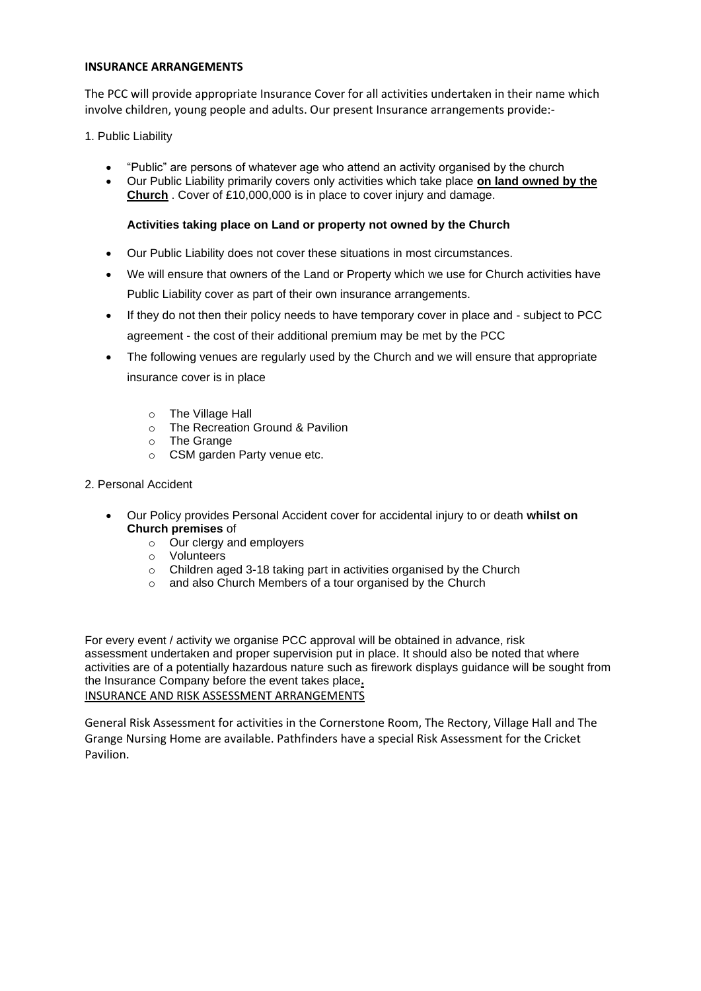#### **INSURANCE ARRANGEMENTS**

The PCC will provide appropriate Insurance Cover for all activities undertaken in their name which involve children, young people and adults. Our present Insurance arrangements provide:-

1. Public Liability

- "Public" are persons of whatever age who attend an activity organised by the church
- Our Public Liability primarily covers only activities which take place **on land owned by the Church** . Cover of £10,000,000 is in place to cover injury and damage.

#### **Activities taking place on Land or property not owned by the Church**

- Our Public Liability does not cover these situations in most circumstances.
- We will ensure that owners of the Land or Property which we use for Church activities have Public Liability cover as part of their own insurance arrangements.
- If they do not then their policy needs to have temporary cover in place and subject to PCC agreement - the cost of their additional premium may be met by the PCC
- The following venues are regularly used by the Church and we will ensure that appropriate insurance cover is in place
	- o The Village Hall
	- o The Recreation Ground & Pavilion
	- o The Grange
	- o CSM garden Party venue etc.
- 2. Personal Accident
	- Our Policy provides Personal Accident cover for accidental injury to or death **whilst on Church premises** of
		- o Our clergy and employers
		- o Volunteers
		- o Children aged 3-18 taking part in activities organised by the Church
		- o and also Church Members of a tour organised by the Church

For every event / activity we organise PCC approval will be obtained in advance, risk assessment undertaken and proper supervision put in place. It should also be noted that where activities are of a potentially hazardous nature such as firework displays guidance will be sought from the Insurance Company before the event takes place**.** INSURANCE AND RISK ASSESSMENT ARRANGEMENTS

General Risk Assessment for activities in the Cornerstone Room, The Rectory, Village Hall and The Grange Nursing Home are available. Pathfinders have a special Risk Assessment for the Cricket Pavilion.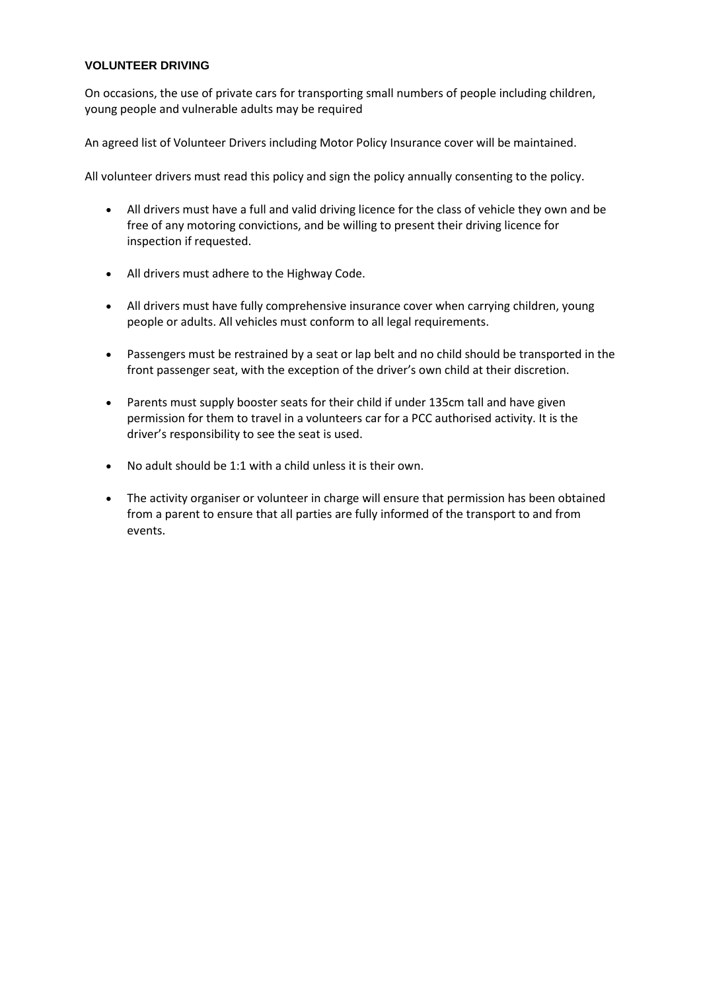#### **VOLUNTEER DRIVING**

On occasions, the use of private cars for transporting small numbers of people including children, young people and vulnerable adults may be required

An agreed list of Volunteer Drivers including Motor Policy Insurance cover will be maintained.

All volunteer drivers must read this policy and sign the policy annually consenting to the policy.

- All drivers must have a full and valid driving licence for the class of vehicle they own and be free of any motoring convictions, and be willing to present their driving licence for inspection if requested.
- All drivers must adhere to the Highway Code.
- All drivers must have fully comprehensive insurance cover when carrying children, young people or adults. All vehicles must conform to all legal requirements.
- Passengers must be restrained by a seat or lap belt and no child should be transported in the front passenger seat, with the exception of the driver's own child at their discretion.
- Parents must supply booster seats for their child if under 135cm tall and have given permission for them to travel in a volunteers car for a PCC authorised activity. It is the driver's responsibility to see the seat is used.
- No adult should be 1:1 with a child unless it is their own.
- The activity organiser or volunteer in charge will ensure that permission has been obtained from a parent to ensure that all parties are fully informed of the transport to and from events.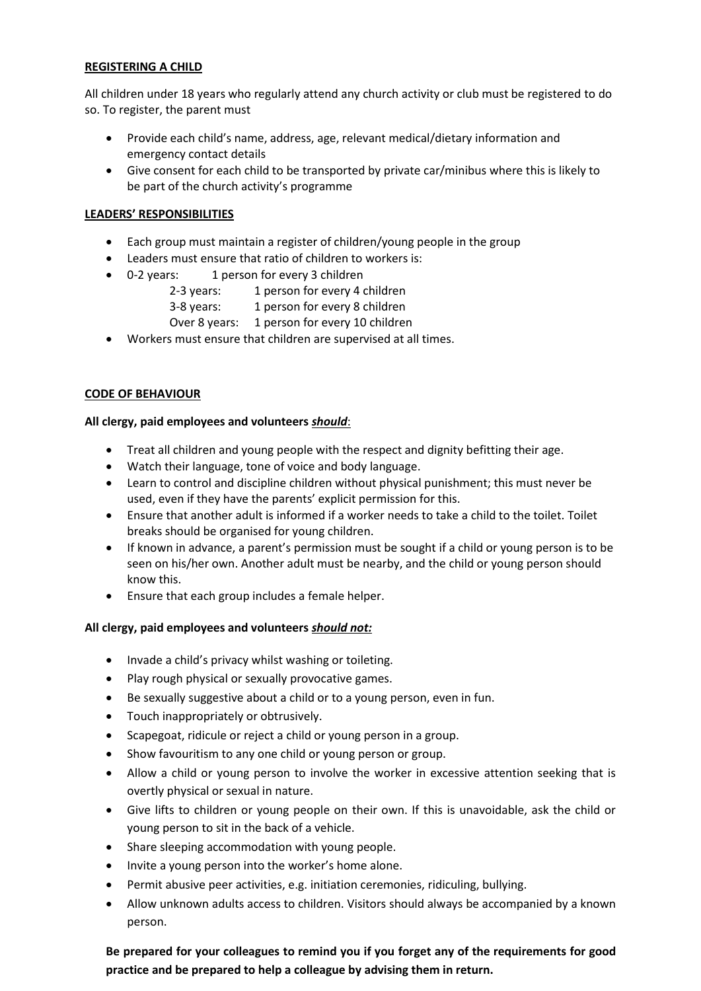#### **REGISTERING A CHILD**

All children under 18 years who regularly attend any church activity or club must be registered to do so. To register, the parent must

- Provide each child's name, address, age, relevant medical/dietary information and emergency contact details
- Give consent for each child to be transported by private car/minibus where this is likely to be part of the church activity's programme

#### **LEADERS' RESPONSIBILITIES**

- Each group must maintain a register of children/young people in the group
- Leaders must ensure that ratio of children to workers is:
- 0-2 years: 1 person for every 3 children
	- 2-3 years: 1 person for every 4 children
	- 3-8 years: 1 person for every 8 children
	- Over 8 years: 1 person for every 10 children
- Workers must ensure that children are supervised at all times.

#### **CODE OF BEHAVIOUR**

#### **All clergy, paid employees and volunteers** *should*:

- Treat all children and young people with the respect and dignity befitting their age.
- Watch their language, tone of voice and body language.
- Learn to control and discipline children without physical punishment; this must never be used, even if they have the parents' explicit permission for this.
- Ensure that another adult is informed if a worker needs to take a child to the toilet. Toilet breaks should be organised for young children.
- If known in advance, a parent's permission must be sought if a child or young person is to be seen on his/her own. Another adult must be nearby, and the child or young person should know this.
- Ensure that each group includes a female helper.

#### **All clergy, paid employees and volunteers** *should not:*

- Invade a child's privacy whilst washing or toileting.
- Play rough physical or sexually provocative games.
- Be sexually suggestive about a child or to a young person, even in fun.
- Touch inappropriately or obtrusively.
- Scapegoat, ridicule or reject a child or young person in a group.
- Show favouritism to any one child or young person or group.
- Allow a child or young person to involve the worker in excessive attention seeking that is overtly physical or sexual in nature.
- Give lifts to children or young people on their own. If this is unavoidable, ask the child or young person to sit in the back of a vehicle.
- Share sleeping accommodation with young people.
- Invite a young person into the worker's home alone.
- Permit abusive peer activities, e.g. initiation ceremonies, ridiculing, bullying.
- Allow unknown adults access to children. Visitors should always be accompanied by a known person.

## **Be prepared for your colleagues to remind you if you forget any of the requirements for good practice and be prepared to help a colleague by advising them in return.**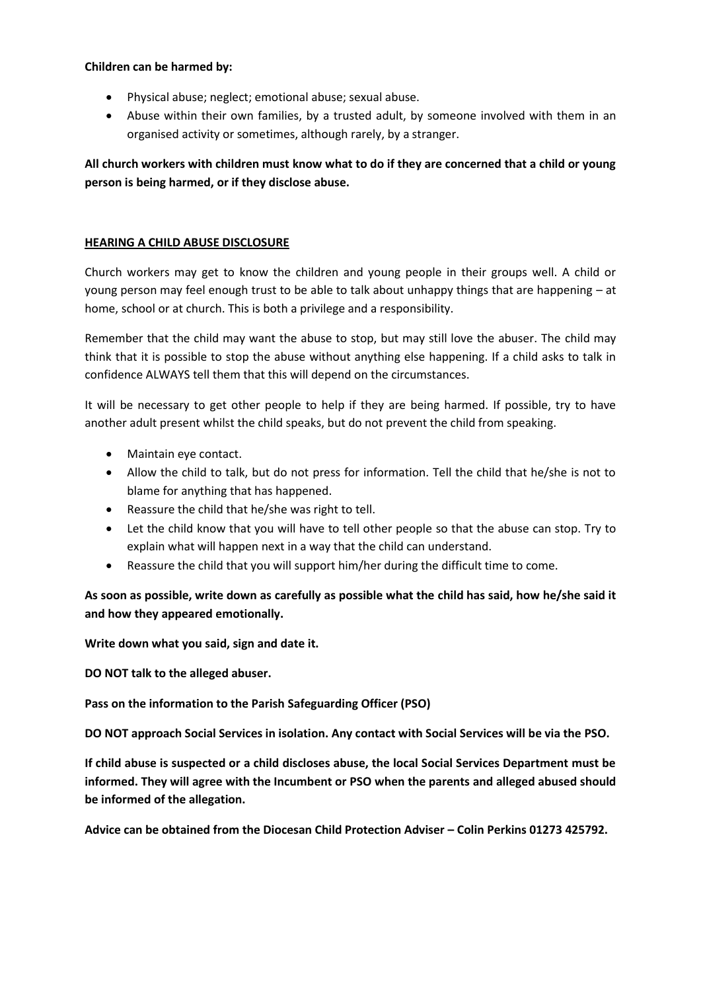#### **Children can be harmed by:**

- Physical abuse; neglect; emotional abuse; sexual abuse.
- Abuse within their own families, by a trusted adult, by someone involved with them in an organised activity or sometimes, although rarely, by a stranger.

## **All church workers with children must know what to do if they are concerned that a child or young person is being harmed, or if they disclose abuse.**

### **HEARING A CHILD ABUSE DISCLOSURE**

Church workers may get to know the children and young people in their groups well. A child or young person may feel enough trust to be able to talk about unhappy things that are happening – at home, school or at church. This is both a privilege and a responsibility.

Remember that the child may want the abuse to stop, but may still love the abuser. The child may think that it is possible to stop the abuse without anything else happening. If a child asks to talk in confidence ALWAYS tell them that this will depend on the circumstances.

It will be necessary to get other people to help if they are being harmed. If possible, try to have another adult present whilst the child speaks, but do not prevent the child from speaking.

- Maintain eye contact.
- Allow the child to talk, but do not press for information. Tell the child that he/she is not to blame for anything that has happened.
- Reassure the child that he/she was right to tell.
- Let the child know that you will have to tell other people so that the abuse can stop. Try to explain what will happen next in a way that the child can understand.
- Reassure the child that you will support him/her during the difficult time to come.

**As soon as possible, write down as carefully as possible what the child has said, how he/she said it and how they appeared emotionally.**

**Write down what you said, sign and date it.**

**DO NOT talk to the alleged abuser.**

**Pass on the information to the Parish Safeguarding Officer (PSO)**

**DO NOT approach Social Services in isolation. Any contact with Social Services will be via the PSO.**

**If child abuse is suspected or a child discloses abuse, the local Social Services Department must be informed. They will agree with the Incumbent or PSO when the parents and alleged abused should be informed of the allegation.**

**Advice can be obtained from the Diocesan Child Protection Adviser – Colin Perkins 01273 425792.**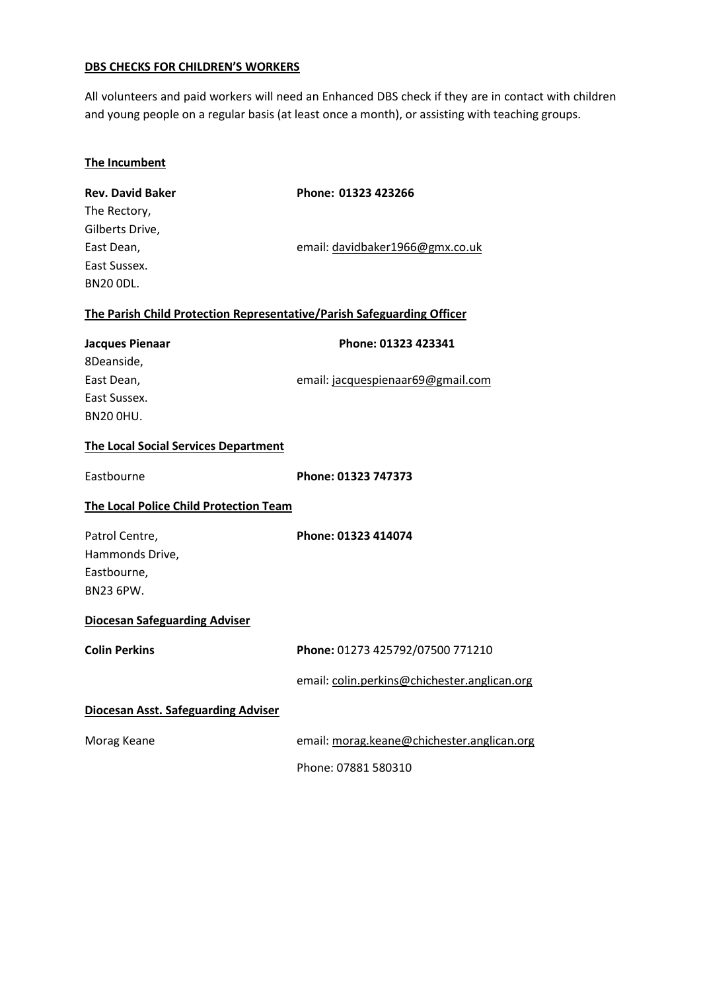#### **DBS CHECKS FOR CHILDREN'S WORKERS**

All volunteers and paid workers will need an Enhanced DBS check if they are in contact with children and young people on a regular basis (at least once a month), or assisting with teaching groups.

|--|

| <b>Rev. David Baker</b>                                                | Phone: 01323 423266                          |
|------------------------------------------------------------------------|----------------------------------------------|
| The Rectory,                                                           |                                              |
| Gilberts Drive,                                                        |                                              |
| East Dean,                                                             | email: davidbaker1966@gmx.co.uk              |
| East Sussex.                                                           |                                              |
| <b>BN20 ODL.</b>                                                       |                                              |
| The Parish Child Protection Representative/Parish Safeguarding Officer |                                              |
| <b>Jacques Pienaar</b>                                                 | Phone: 01323 423341                          |
| 8Deanside,                                                             |                                              |
| East Dean,                                                             | email: jacquespienaar69@gmail.com            |
| East Sussex.                                                           |                                              |
| <b>BN20 OHU.</b>                                                       |                                              |
| <b>The Local Social Services Department</b>                            |                                              |
| Eastbourne                                                             | Phone: 01323 747373                          |
| The Local Police Child Protection Team                                 |                                              |
| Patrol Centre,                                                         | Phone: 01323 414074                          |
| Hammonds Drive,                                                        |                                              |
| Eastbourne,                                                            |                                              |
| <b>BN23 6PW.</b>                                                       |                                              |
| <b>Diocesan Safeguarding Adviser</b>                                   |                                              |
| <b>Colin Perkins</b>                                                   | Phone: 01273 425792/07500 771210             |
|                                                                        | email: colin.perkins@chichester.anglican.org |
| <b>Diocesan Asst. Safeguarding Adviser</b>                             |                                              |

| Morag Keane | email: morag.keane@chichester.anglican.org |
|-------------|--------------------------------------------|
|             | Phone: 07881 580310                        |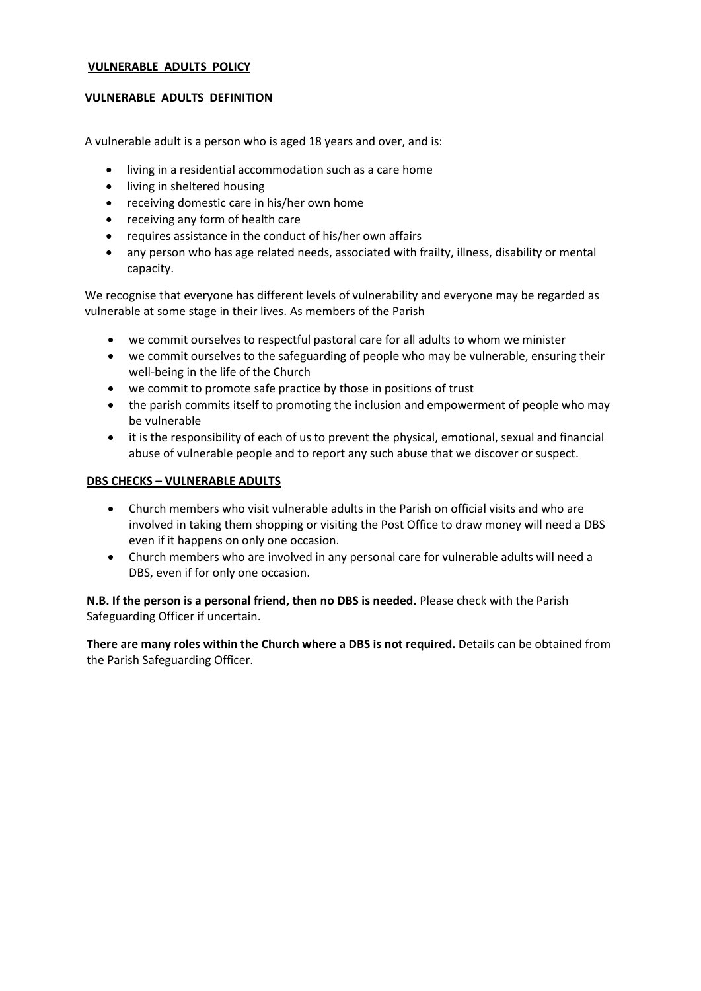#### **VULNERABLE ADULTS POLICY**

#### **VULNERABLE ADULTS DEFINITION**

A vulnerable adult is a person who is aged 18 years and over, and is:

- living in a residential accommodation such as a care home
- living in sheltered housing
- receiving domestic care in his/her own home
- receiving any form of health care
- requires assistance in the conduct of his/her own affairs
- any person who has age related needs, associated with frailty, illness, disability or mental capacity.

We recognise that everyone has different levels of vulnerability and everyone may be regarded as vulnerable at some stage in their lives. As members of the Parish

- we commit ourselves to respectful pastoral care for all adults to whom we minister
- we commit ourselves to the safeguarding of people who may be vulnerable, ensuring their well-being in the life of the Church
- we commit to promote safe practice by those in positions of trust
- the parish commits itself to promoting the inclusion and empowerment of people who may be vulnerable
- it is the responsibility of each of us to prevent the physical, emotional, sexual and financial abuse of vulnerable people and to report any such abuse that we discover or suspect.

#### **DBS CHECKS – VULNERABLE ADULTS**

- Church members who visit vulnerable adults in the Parish on official visits and who are involved in taking them shopping or visiting the Post Office to draw money will need a DBS even if it happens on only one occasion.
- Church members who are involved in any personal care for vulnerable adults will need a DBS, even if for only one occasion.

**N.B. If the person is a personal friend, then no DBS is needed.** Please check with the Parish Safeguarding Officer if uncertain.

**There are many roles within the Church where a DBS is not required.** Details can be obtained from the Parish Safeguarding Officer.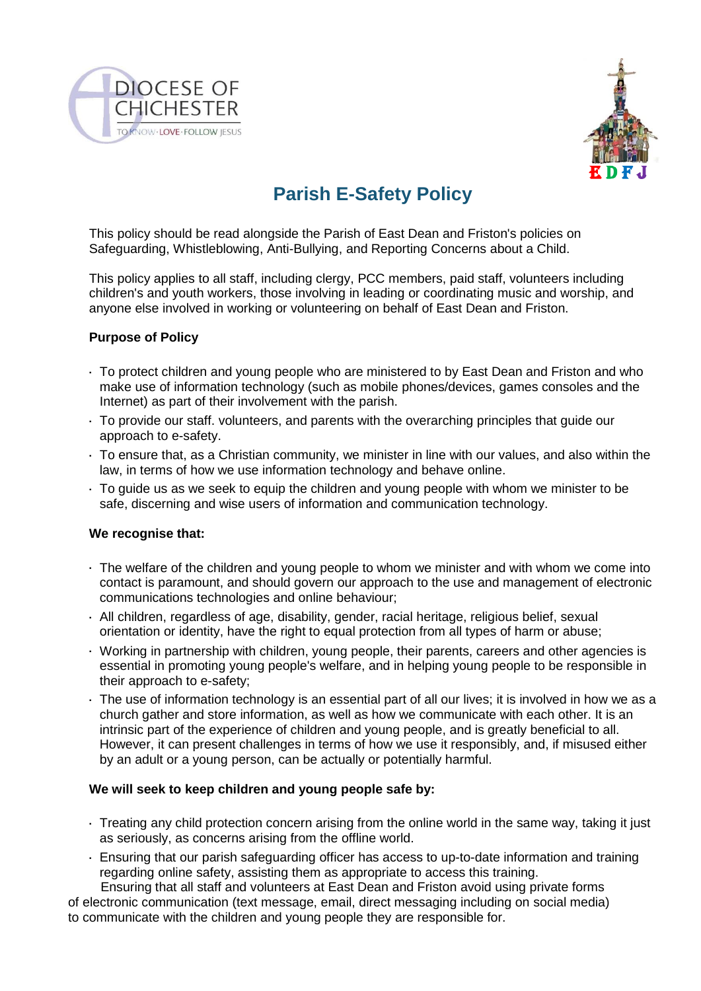



# **Parish E-Safety Policy**

This policy should be read alongside the Parish of East Dean and Friston's policies on Safeguarding, Whistleblowing, Anti-Bullying, and Reporting Concerns about a Child.

This policy applies to all staff, including clergy, PCC members, paid staff, volunteers including children's and youth workers, those involving in leading or coordinating music and worship, and anyone else involved in working or volunteering on behalf of East Dean and Friston.

### **Purpose of Policy**

- To protect children and young people who are ministered to by East Dean and Friston and who make use of information technology (such as mobile phones/devices, games consoles and the Internet) as part of their involvement with the parish.
- To provide our staff. volunteers, and parents with the overarching principles that guide our approach to e-safety.
- To ensure that, as a Christian community, we minister in line with our values, and also within the law, in terms of how we use information technology and behave online.
- To guide us as we seek to equip the children and young people with whom we minister to be safe, discerning and wise users of information and communication technology.

### **We recognise that:**

- The welfare of the children and young people to whom we minister and with whom we come into contact is paramount, and should govern our approach to the use and management of electronic communications technologies and online behaviour;
- All children, regardless of age, disability, gender, racial heritage, religious belief, sexual orientation or identity, have the right to equal protection from all types of harm or abuse;
- Working in partnership with children, young people, their parents, careers and other agencies is essential in promoting young people's welfare, and in helping young people to be responsible in their approach to e-safety;
- The use of information technology is an essential part of all our lives; it is involved in how we as a church gather and store information, as well as how we communicate with each other. It is an intrinsic part of the experience of children and young people, and is greatly beneficial to all. However, it can present challenges in terms of how we use it responsibly, and, if misused either by an adult or a young person, can be actually or potentially harmful.

### **We will seek to keep children and young people safe by:**

- Treating any child protection concern arising from the online world in the same way, taking it just as seriously, as concerns arising from the offline world.
- Ensuring that our parish safeguarding officer has access to up-to-date information and training regarding online safety, assisting them as appropriate to access this training.

 Ensuring that all staff and volunteers at East Dean and Friston avoid using private forms of electronic communication (text message, email, direct messaging including on social media) to communicate with the children and young people they are responsible for.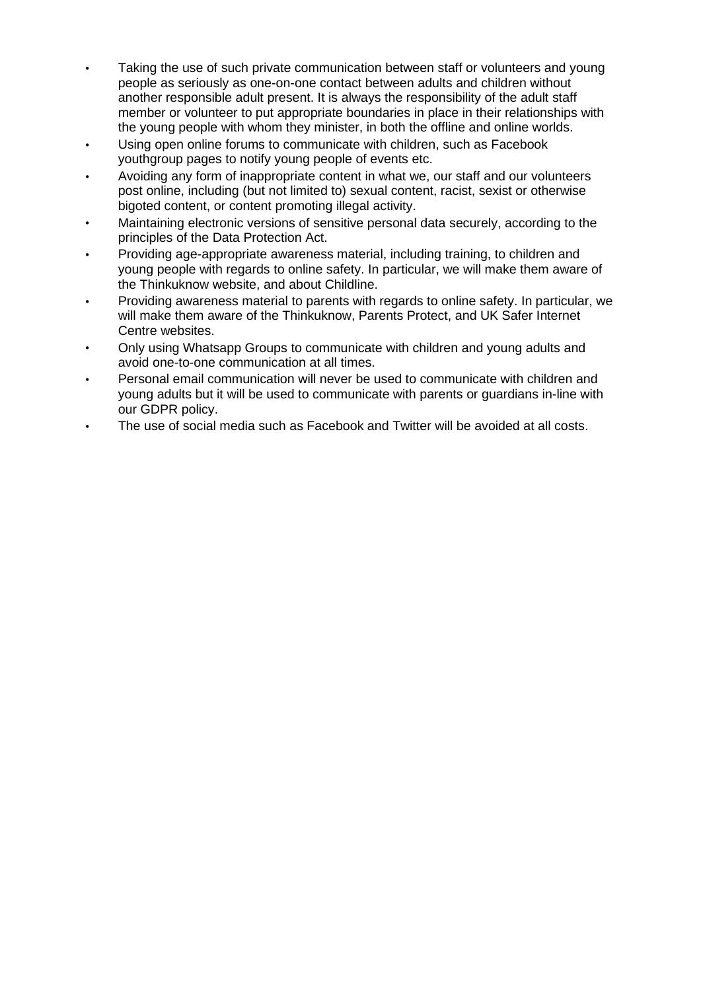- Taking the use of such private communication between staff or volunteers and young people as seriously as one-on-one contact between adults and children without another responsible adult present. It is always the responsibility of the adult staff member or volunteer to put appropriate boundaries in place in their relationships with the young people with whom they minister, in both the offline and online worlds.
- Using open online forums to communicate with children, such as Facebook youthgroup pages to notify young people of events etc.
- Avoiding any form of inappropriate content in what we, our staff and our volunteers post online, including (but not limited to) sexual content, racist, sexist or otherwise bigoted content, or content promoting illegal activity.
- Maintaining electronic versions of sensitive personal data securely, according to the principles of the Data Protection Act.
- Providing age-appropriate awareness material, including training, to children and young people with regards to online safety. In particular, we will make them aware of the Thinkuknow website, and about Childline.
- Providing awareness material to parents with regards to online safety. In particular, we will make them aware of the Thinkuknow, Parents Protect, and UK Safer Internet Centre websites.
- Only using Whatsapp Groups to communicate with children and young adults and avoid one-to-one communication at all times.
- Personal email communication will never be used to communicate with children and young adults but it will be used to communicate with parents or guardians in-line with our GDPR policy.
- The use of social media such as Facebook and Twitter will be avoided at all costs.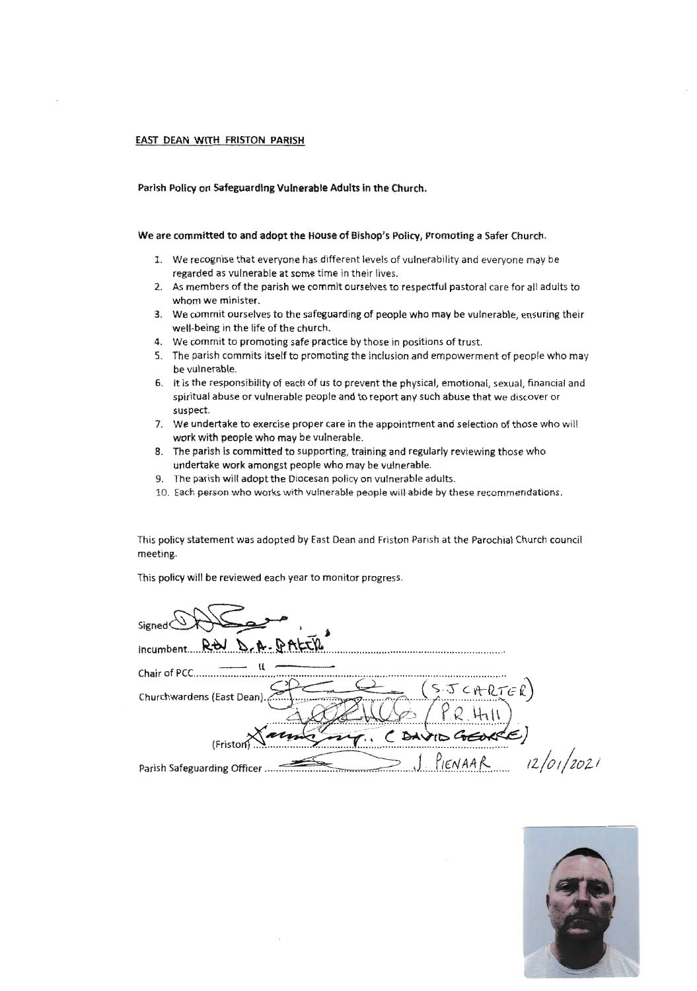#### £AST DEAN WITH FRISTON PARISH

#### Parish Policy on Safeguarding Vulnerable Adults in the Church.

#### We are committed to and adopt the House of Bishop's Policy, Promoting a Safer Church.

- 1. We recognise that everyone has different levels of vulnerability and everyone may be regarded as vulnerable at some time in their lives.
- 2. As members of the parish we commit ourselves to respectful pastoral care for all adults to whom we minister.
- 3. We commit ourselves to the safeguarding of people who may be vulnerable, ensuring their well-being in the life of the church.
- 4. We commit to promoting safe practice by those in positions of trust.
- 5. The parish commits itself to promoting the inclusion and empowerment of people who may be vulnerable.
- 6. It is the responsibility of each of us to prevent the physical, emotional, sexual, financial and spiritual abuse or vulnerable people and to report any such abuse that we discover or suspect.
- 7. We undertake to exercise proper care in the appointment and selection of those who will work with people who may be vulnerable.
- 8. The parish is committed to supporting, training and regularly reviewing those who undertake **work** amongst people who may be vulnerable.
- 9. The parish will adopt the Diocesan policy on vulnerable adults.
- 10. Each person who works with vulnerable people will abide by these recommendations.

This policy statement was adopted by East Dean and Friston Parish at the Parochial Church council meeting.

This policy will be reviewed each year to monitor progress.

| Signed                                                        |
|---------------------------------------------------------------|
| $D - A - B$ ALIK<br>incumbent.                                |
| Chair of PCC.                                                 |
| (SJCHRTER)<br>Churchwardens (East Dean).,                     |
| ( DAVID GEORGE)<br>(Fristor                                   |
| 12/01/2021<br><u>S</u> PIENAAR<br>Parish Safeguarding Officer |